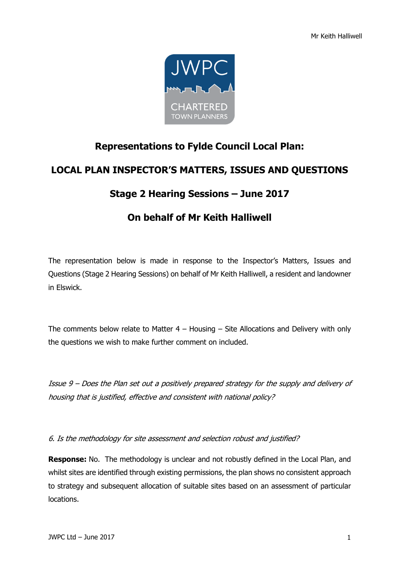

## **Representations to Fylde Council Local Plan:**

## **LOCAL PLAN INSPECTOR'S MATTERS, ISSUES AND QUESTIONS**

## **Stage 2 Hearing Sessions – June 2017**

## **On behalf of Mr Keith Halliwell**

The representation below is made in response to the Inspector's Matters, Issues and Questions (Stage 2 Hearing Sessions) on behalf of Mr Keith Halliwell, a resident and landowner in Elswick.

The comments below relate to Matter  $4 -$  Housing  $-$  Site Allocations and Delivery with only the questions we wish to make further comment on included.

Issue 9 – Does the Plan set out a positively prepared strategy for the supply and delivery of housing that is justified, effective and consistent with national policy?

6. Is the methodology for site assessment and selection robust and justified?

**Response:** No. The methodology is unclear and not robustly defined in the Local Plan, and whilst sites are identified through existing permissions, the plan shows no consistent approach to strategy and subsequent allocation of suitable sites based on an assessment of particular locations.